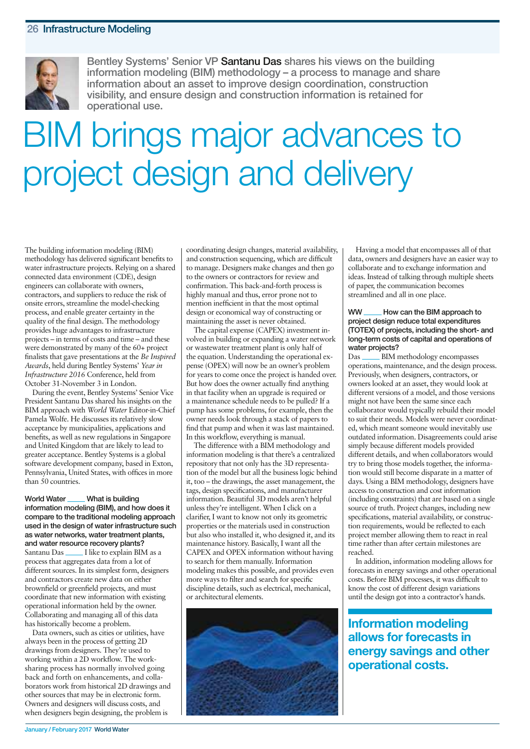

**Bentley Systems' Senior VP Santanu Das shares his views on the building information modeling (BIM) methodology – a process to manage and share information about an asset to improve design coordination, construction visibility, and ensure design and construction information is retained for operational use.**

# BIM brings major advances to project design and delivery

The building information modeling (BIM) methodology has delivered significant benefits to water infrastructure projects. Relying on a shared connected data environment (CDE), design engineers can collaborate with owners, contractors, and suppliers to reduce the risk of onsite errors, streamline the model-checking process, and enable greater certainty in the quality of the final design. The methodology provides huge advantages to infrastructure projects – in terms of costs and time – and these were demonstrated by many of the 60+ project finalists that gave presentations at the *Be Inspired Awards*, held during Bentley Systems' *Year in Infrastructure 2016* Conference, held from October 31-November 3 in London.

During the event, Bentley Systems' Senior Vice President Santanu Das shared his insights on the BIM approach with *World Water* Editor-in-Chief Pamela Wolfe. He discusses its relatively slow acceptance by municipalities, applications and benefits, as well as new regulations in Singapore and United Kingdom that are likely to lead to greater acceptance. Bentley Systems is a global software development company, based in Exton, Pennsylvania, United States, with offices in more than 50 countries.

**World Water What is building information modeling (BIM), and how does it compare to the traditional modeling approach used in the design of water infrastructure such as water networks, water treatment plants, and water resource recovery plants?** Santanu Das \_\_\_\_\_ I like to explain BIM as a process that aggregates data from a lot of different sources. In its simplest form, designers and contractors create new data on either brownfield or greenfield projects, and must coordinate that new information with existing operational information held by the owner. Collaborating and managing all of this data has historically become a problem.

Data owners, such as cities or utilities, have always been in the process of getting 2D drawings from designers. They're used to working within a 2D workflow. The worksharing process has normally involved going back and forth on enhancements, and collaborators work from historical 2D drawings and other sources that may be in electronic form. Owners and designers will discuss costs, and when designers begin designing, the problem is

coordinating design changes, material availability, and construction sequencing, which are difficult to manage. Designers make changes and then go to the owners or contractors for review and confirmation. This back-and-forth process is highly manual and thus, error prone not to mention inefficient in that the most optimal design or economical way of constructing or maintaining the asset is never obtained.

The capital expense (CAPEX) investment involved in building or expanding a water network or wastewater treatment plant is only half of the equation. Understanding the operational expense (OPEX) will now be an owner's problem for years to come once the project is handed over. But how does the owner actually find anything in that facility when an upgrade is required or a maintenance schedule needs to be pulled? If a pump has some problems, for example, then the owner needs look through a stack of papers to find that pump and when it was last maintained. In this workflow, everything is manual.

The difference with a BIM methodology and information modeling is that there's a centralized repository that not only has the 3D representation of the model but all the business logic behind it, too – the drawings, the asset management, the tags, design specifications, and manufacturer information. Beautiful 3D models aren't helpful unless they're intelligent. When I click on a clarifier, I want to know not only its geometric properties or the materials used in construction but also who installed it, who designed it, and its maintenance history. Basically, I want all the CAPEX and OPEX information without having to search for them manually. Information modeling makes this possible, and provides even more ways to filter and search for specific discipline details, such as electrical, mechanical, or architectural elements.



Having a model that encompasses all of that data, owners and designers have an easier way to collaborate and to exchange information and ideas. Instead of talking through multiple sheets of paper, the communication becomes streamlined and all in one place.

#### **WW How can the BIM approach to project design reduce total expenditures (TOTEX) of projects, including the short- and long-term costs of capital and operations of water projects?**

Das \_\_\_\_\_\_ BIM methodology encompasses operations, maintenance, and the design process. Previously, when designers, contractors, or owners looked at an asset, they would look at different versions of a model, and those versions might not have been the same since each collaborator would typically rebuild their model to suit their needs. Models were never coordinated, which meant someone would inevitably use outdated information. Disagreements could arise simply because different models provided different details, and when collaborators would try to bring those models together, the information would still become disparate in a matter of days. Using a BIM methodology, designers have access to construction and cost information (including constraints) that are based on a single source of truth. Project changes, including new specifications, material availability, or construction requirements, would be reflected to each project member allowing them to react in real time rather than after certain milestones are reached.

In addition, information modeling allows for forecasts in energy savings and other operational costs. Before BIM processes, it was difficult to know the cost of different design variations until the design got into a contractor's hands.

**Information modeling allows for forecasts in energy savings and other operational costs.**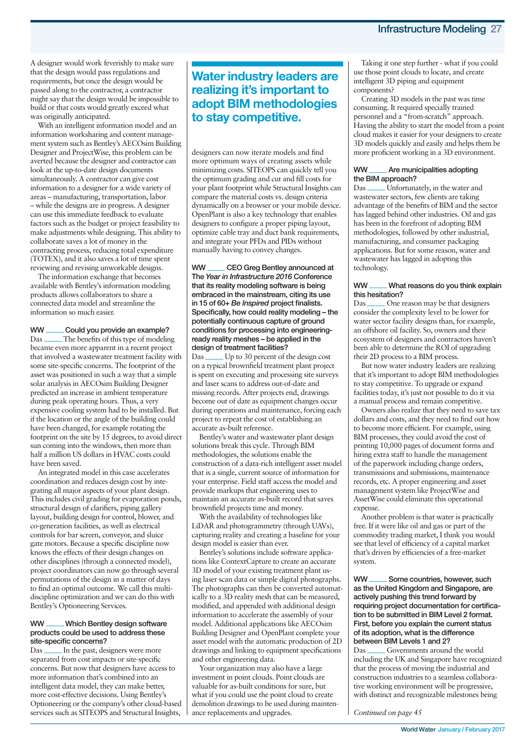A designer would work feverishly to make sure that the design would pass regulations and requirements, but once the design would be passed along to the contractor, a contractor might say that the design would be impossible to build or that costs would greatly exceed what was originally anticipated.

With an intelligent information model and an information worksharing and content management system such as Bentley's AECOsim Building Designer and ProjectWise, this problem can be averted because the designer and contractor can look at the up-to-date design documents simultaneously. A contractor can give cost information to a designer for a wide variety of areas – manufacturing, transportation, labor – while the designs are in progress. A designer can use this immediate feedback to evaluate factors such as the budget or project feasibility to make adjustments while designing. This ability to collaborate saves a lot of money in the contracting process, reducing total expenditure (TOTEX), and it also saves a lot of time spent reviewing and revising unworkable designs.

The information exchange that becomes available with Bentley's information modeling products allows collaborators to share a connected data model and streamline the information so much easier.

#### **WW Could you provide an example?**

Das \_\_\_\_\_\_ The benefits of this type of modeling became even more apparent in a recent project that involved a wastewater treatment facility with some site-specific concerns. The footprint of the asset was positioned in such a way that a simple solar analysis in AECOsim Building Designer predicted an increase in ambient temperature during peak operating hours. Thus, a very expensive cooling system had to be installed. But if the location or the angle of the building could have been changed, for example rotating the footprint on the site by 15 degrees, to avoid direct sun coming into the windows, then more than half a million US dollars in HVAC costs could have been saved.

An integrated model in this case accelerates coordination and reduces design cost by integrating all major aspects of your plant design. This includes civil grading for evaporation ponds, structural design of clarifiers, piping gallery layout, building design for control, blower, and co-generation facilities, as well as electrical controls for bar screen, conveyor, and sluice gate motors. Because a specific discipline now knows the effects of their design changes on other disciplines (through a connected model), project coordinators can now go through several permutations of the design in a matter of days to find an optimal outcome. We call this multidiscipline optimization and we can do this with Bentley's Optioneering Services.

#### **WW Which Bentley design software products could be used to address these site-specific concerns?**

Das **In the past**, designers were more separated from cost impacts or site-specific concerns. But now that designers have access to more information that's combined into an intelligent data model, they can make better, more cost-effective decisions. Using Bentley's Optioneering or the company's other cloud-based services such as SITEOPS and Structural Insights,

## **Water industry leaders are realizing it's important to adopt BIM methodologies to stay competitive.**

designers can now iterate models and find more optimum ways of creating assets while minimizing costs. SITEOPS can quickly tell you the optimum grading and cut and fill costs for your plant footprint while Structural Insights can compare the material costs vs. design criteria dynamically on a browser or your mobile device. OpenPlant is also a key technology that enables designers to configure a proper piping layout, optimize cable tray and duct bank requirements, and integrate your PFDs and PIDs without manually having to convey changes.

**WW CEO Greg Bentley announced at The** *Year in Infrastructure 2016* **Conference that its reality modeling software is being embraced in the mainstream, citing its use in 15 of 60+** *Be Inspired* **project finalists. Specifically, how could reality modeling – the potentially continuous capture of ground conditions for processing into engineeringready reality meshes – be applied in the design of treatment facilities?**

Das Up to 30 percent of the design cost on a typical brownfield treatment plant project is spent on executing and processing site surveys and laser scans to address out-of-date and missing records. After projects end, drawings become out of date as equipment changes occur during operations and maintenance, forcing each project to repeat the cost of establishing an accurate as-built reference.

Bentley's water and wastewater plant design solutions break this cycle. Through BIM methodologies, the solutions enable the construction of a data-rich intelligent asset model that is a single, current source of information for your enterprise. Field staff access the model and provide markups that engineering uses to maintain an accurate as-built record that saves brownfield projects time and money.

With the availability of technologies like LiDAR and photogrammetry (through UAVs), capturing reality and creating a baseline for your design model is easier than ever.

Bentley's solutions include software applications like ContextCapture to create an accurate 3D model of your existing treatment plant using laser scan data or simple digital photographs. The photographs can then be converted automatically to a 3D reality mesh that can be measured, modified, and appended with additional design information to accelerate the assembly of your model. Additional applications like AECOsim Building Designer and OpenPlant complete your asset model with the automatic production of 2D drawings and linking to equipment specifications and other engineering data.

Your organization may also have a large investment in point clouds. Point clouds are valuable for as-built conditions for sure, but what if you could use the point cloud to create demolition drawings to be used during maintenance replacements and upgrades.

Taking it one step further - what if you could use those point clouds to locate, and create intelligent 3D piping and equipment components?

Creating 3D models in the past was time consuming. It required specially trained personnel and a "from-scratch" approach. Having the ability to start the model from a point cloud makes it easier for your designers to create 3D models quickly and easily and helps them be more proficient working in a 3D environment.

#### **WW Are municipalities adopting the BIM approach?**

Das \_\_\_\_\_\_\_Unfortunately, in the water and wastewater sectors, few clients are taking advantage of the benefits of BIM and the sector has lagged behind other industries. Oil and gas has been in the forefront of adopting BIM methodologies, followed by other industrial, manufacturing, and consumer packaging applications. But for some reason, water and wastewater has lagged in adopting this technology.

#### **WW What reasons do you think explain this hesitation?**

Das \_\_\_\_\_\_ One reason may be that designers consider the complexity level to be lower for water sector facility designs than, for example, an offshore oil facility. So, owners and their ecosystem of designers and contractors haven't been able to determine the ROI of upgrading their 2D process to a BIM process.

But now water industry leaders are realizing that it's important to adopt BIM methodologies to stay competitive. To upgrade or expand facilities today, it's just not possible to do it via a manual process and remain competitive.

Owners also realize that they need to save tax dollars and costs, and they need to find out how to become more efficient. For example, using BIM processes, they could avoid the cost of printing 10,000 pages of document forms and hiring extra staff to handle the management of the paperwork including change orders, transmissions and submissions, maintenance records, etc. A proper engineering and asset management system like ProjectWise and AssetWise could eliminate this operational expense.

Another problem is that water is practically free. If it were like oil and gas or part of the commodity trading market, I think you would see that level of efficiency of a capital market that's driven by efficiencies of a free-market system.

**WW Some countries, however, such as the United Kingdom and Singapore, are actively pushing this trend forward by requiring project documentation for certification to be submitted in BIM Level 2 format. First, before you explain the current status of its adoption, what is the difference between BIM Levels 1 and 2?**

Das \_\_\_\_\_\_ Governments around the world including the UK and Singapore have recognized that the process of moving the industrial and construction industries to a seamless collaborative working environment will be progressive, with distinct and recognizable milestones being

*Continued on page 45*